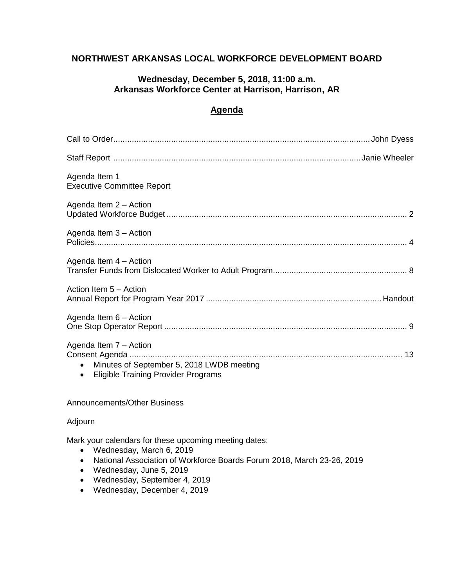# **NORTHWEST ARKANSAS LOCAL WORKFORCE DEVELOPMENT BOARD**

### **Wednesday, December 5, 2018, 11:00 a.m. Arkansas Workforce Center at Harrison, Harrison, AR**

# **Agenda**

| Agenda Item 1<br><b>Executive Committee Report</b>                                                                        |
|---------------------------------------------------------------------------------------------------------------------------|
| Agenda Item 2 - Action                                                                                                    |
| Agenda Item 3 – Action                                                                                                    |
| Agenda Item 4 - Action                                                                                                    |
| Action Item 5 - Action                                                                                                    |
| Agenda Item 6 - Action                                                                                                    |
| Agenda Item 7 - Action<br>Minutes of September 5, 2018 LWDB meeting<br>$\bullet$<br>• Eligible Training Provider Programs |

### Announcements/Other Business

#### Adjourn

Mark your calendars for these upcoming meeting dates:

- Wednesday, March 6, 2019
- National Association of Workforce Boards Forum 2018, March 23-26, 2019
- Wednesday, June 5, 2019
- Wednesday, September 4, 2019
- Wednesday, December 4, 2019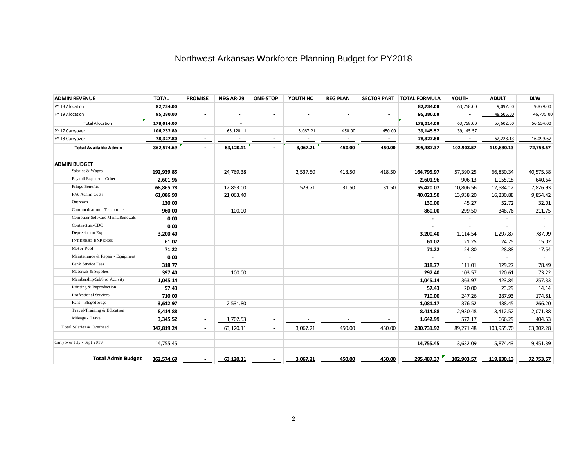# Northwest Arkansas Workforce Planning Budget for PY2018

| <b>ADMIN REVENUE</b>             | <b>TOTAL</b> | <b>PROMISE</b> | NEG AR-29 | <b>ONE-STOP</b>          | YOUTH HC                 | <b>REG PLAN</b> | <b>SECTOR PART</b> | <b>TOTAL FORMULA</b> | YOUTH          | <b>ADULT</b> | <b>DLW</b> |
|----------------------------------|--------------|----------------|-----------|--------------------------|--------------------------|-----------------|--------------------|----------------------|----------------|--------------|------------|
| PY 18 Allocation                 | 82,734.00    |                |           |                          |                          |                 |                    | 82,734.00            | 63,758.00      | 9,097.00     | 9,879.00   |
| FY 19 Allocation                 | 95,280.00    | $\sim$         |           |                          |                          |                 |                    | 95,280.00            | $\sim$         | 48,505.00    | 46,775.00  |
| <b>Total Allocation</b>          | 178,014.00   |                |           |                          |                          |                 |                    | 178,014.00           | 63,758.00      | 57,602.00    | 56,654.00  |
| PY 17 Carryover                  | 106,232.89   |                | 63,120.11 |                          | 3,067.21                 | 450.00          | 450.00             | 39,145.57            | 39,145.57      |              |            |
| FY 18 Carryover                  | 78,327.80    |                |           |                          |                          |                 | $\sim$             | 78,327.80            | $\sim$         | 62,228.13    | 16,099.67  |
| <b>Total Available Admin</b>     | 362,574.69   | $\blacksquare$ | 63,120.11 |                          | 3,067.21                 | 450.00          | 450.00             | 295,487.37           | 102,903.57     | 119,830.13   | 72,753.67  |
|                                  |              |                |           |                          |                          |                 |                    |                      |                |              |            |
| <b>ADMIN BUDGET</b>              |              |                |           |                          |                          |                 |                    |                      |                |              |            |
| Salaries & Wages                 | 192,939.85   |                | 24,769.38 |                          | 2,537.50                 | 418.50          | 418.50             | 164,795.97           | 57,390.25      | 66,830.34    | 40,575.38  |
| Payroll Expense - Other          | 2,601.96     |                |           |                          |                          |                 |                    | 2,601.96             | 906.13         | 1,055.18     | 640.64     |
| Fringe Benefits                  | 68,865.78    |                | 12,853.00 |                          | 529.71                   | 31.50           | 31.50              | 55,420.07            | 10,806.56      | 12,584.12    | 7,826.93   |
| P/A-Admin Costs                  | 61,086.90    |                | 21,063.40 |                          |                          |                 |                    | 40,023.50            | 13,938.20      | 16,230.88    | 9,854.42   |
| Outreach                         | 130.00       |                |           |                          |                          |                 |                    | 130.00               | 45.27          | 52.72        | 32.01      |
| Communication - Telephone        | 960.00       |                | 100.00    |                          |                          |                 |                    | 860.00               | 299.50         | 348.76       | 211.75     |
| Computer Software Maint/Renewals | 0.00         |                |           |                          |                          |                 |                    |                      | $\blacksquare$ |              |            |
| Contractual-CDC                  | 0.00         |                |           |                          |                          |                 |                    | ٠                    | $\sim$         |              |            |
| Depreciation Exp                 | 3,200.40     |                |           |                          |                          |                 |                    | 3,200.40             | 1,114.54       | 1,297.87     | 787.99     |
| <b>INTEREST EXPENSE</b>          | 61.02        |                |           |                          |                          |                 |                    | 61.02                | 21.25          | 24.75        | 15.02      |
| Motor Pool                       | 71.22        |                |           |                          |                          |                 |                    | 71.22                | 24.80          | 28.88        | 17.54      |
| Maintenance & Repair - Equipment | 0.00         |                |           |                          |                          |                 |                    |                      | $\sim$         |              | $\sim$     |
| <b>Bank Service Fees</b>         | 318.77       |                |           |                          |                          |                 |                    | 318.77               | 111.01         | 129.27       | 78.49      |
| Materials & Supplies             | 397.40       |                | 100.00    |                          |                          |                 |                    | 297.40               | 103.57         | 120.61       | 73.22      |
| Membership/Sub/Pro Activity      | 1,045.14     |                |           |                          |                          |                 |                    | 1,045.14             | 363.97         | 423.84       | 257.33     |
| Printing & Reproduction          | 57.43        |                |           |                          |                          |                 |                    | 57.43                | 20.00          | 23.29        | 14.14      |
| Professional Services            | 710.00       |                |           |                          |                          |                 |                    | 710.00               | 247.26         | 287.93       | 174.81     |
| Rent - Bldg/Storage              | 3,612.97     |                | 2,531.80  |                          |                          |                 |                    | 1,081.17             | 376.52         | 438.45       | 266.20     |
| Travel-Training & Education      | 8,414.88     |                |           |                          |                          |                 |                    | 8,414.88             | 2,930.48       | 3,412.52     | 2,071.88   |
| Mileage - Travel                 | 3,345.52     | $\sim$         | 1,702.53  | $\overline{\phantom{a}}$ | $\overline{\phantom{a}}$ | $\sim$          | $\sim$             | 1,642.99             | 572.17         | 666.29       | 404.53     |
| Total Salaries & Overhead        | 347,819.24   | $\blacksquare$ | 63,120.11 | $\blacksquare$           | 3,067.21                 | 450.00          | 450.00             | 280,731.92           | 89,271.48      | 103,955.70   | 63,302.28  |
|                                  |              |                |           |                          |                          |                 |                    |                      |                |              |            |
| Carryover July - Sept 2019       | 14,755.45    |                |           |                          |                          |                 |                    | 14,755.45            | 13,632.09      | 15,874.43    | 9,451.39   |
| <b>Total Admin Budget</b>        | 362,574.69   |                | 63,120.11 |                          | 3,067.21                 | 450.00          | 450.00             | 295,487.37           | 102,903.57     | 119,830.13   | 72,753.67  |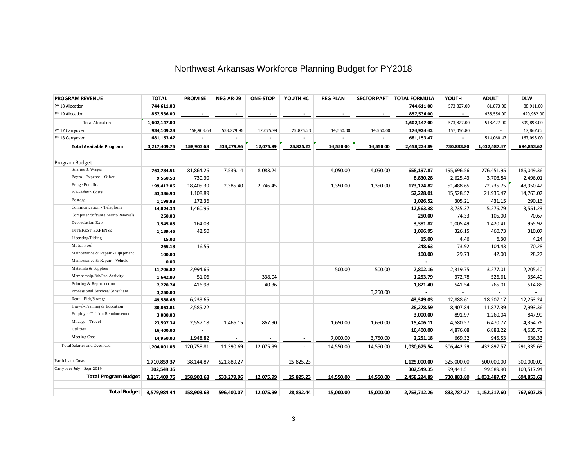# Northwest Arkansas Workforce Planning Budget for PY2018

| <b>PROGRAM REVENUE</b>           | <b>TOTAL</b> | <b>PROMISE</b>           | NEG AR-29  | <b>ONE-STOP</b>          | YOUTH HC                 | <b>REG PLAN</b> | <b>SECTOR PART</b> | <b>TOTAL FORMULA</b> | YOUTH          | <b>ADULT</b> | <b>DLW</b> |
|----------------------------------|--------------|--------------------------|------------|--------------------------|--------------------------|-----------------|--------------------|----------------------|----------------|--------------|------------|
| PY 18 Allocation                 | 744,611.00   |                          |            |                          |                          |                 |                    | 744,611.00           | 573,827.00     | 81,873.00    | 88,911.00  |
| FY 19 Allocation                 | 857,536.00   | $\overline{\phantom{a}}$ |            |                          | $\overline{\phantom{a}}$ | $\blacksquare$  | $\sim$             | 857,536.00           | $\blacksquare$ | 436,554.00   | 420,982.00 |
| <b>Total Allocation</b>          | 1,602,147.00 | $\blacksquare$           |            |                          |                          |                 |                    | 1,602,147.00         | 573,827.00     | 518,427.00   | 509,893.00 |
| PY 17 Carryover                  | 934,109.28   | 158,903.68               | 533,279.96 | 12,075.99                | 25,825.23                | 14,550.00       | 14,550.00          | 174,924.42           | 157,056.80     |              | 17,867.62  |
| FY 18 Carryover                  | 681,153.47   |                          |            |                          |                          |                 |                    | 681,153.47           |                | 514,060.47   | 167,093.00 |
| <b>Total Available Program</b>   | 3,217,409.75 | 158,903.68               | 533,279.96 | 12,075.99                | 25,825.23                | 14,550.00       | 14,550.00          | 2,458,224.89         | 730,883.80     | 1,032,487.47 | 694,853.62 |
|                                  |              |                          |            |                          |                          |                 |                    |                      |                |              |            |
| Program Budget                   |              |                          |            |                          |                          |                 |                    |                      |                |              |            |
| Salaries & Wages                 | 763,784.51   | 81,864.26                | 7,539.14   | 8,083.24                 |                          | 4,050.00        | 4,050.00           | 658,197.87           | 195,696.56     | 276,451.95   | 186,049.36 |
| Payroll Expense - Other          | 9,560.58     | 730.30                   |            |                          |                          |                 |                    | 8,830.28             | 2,625.43       | 3,708.84     | 2,496.01   |
| Fringe Benefits                  | 199,412.06   | 18,405.39                | 2,385.40   | 2,746.45                 |                          | 1,350.00        | 1,350.00           | 173,174.82           | 51,488.65      | 72,735.75    | 48,950.42  |
| P/A-Admin Costs                  | 53,336.90    | 1,108.89                 |            |                          |                          |                 |                    | 52,228.01            | 15,528.52      | 21,936.47    | 14,763.02  |
| Postage                          | 1,198.88     | 172.36                   |            |                          |                          |                 |                    | 1,026.52             | 305.21         | 431.15       | 290.16     |
| Communication - Telephone        | 14,024.34    | 1,460.96                 |            |                          |                          |                 |                    | 12,563.38            | 3,735.37       | 5,276.79     | 3,551.23   |
| Computer Software Maint/Renewals | 250.00       |                          |            |                          |                          |                 |                    | 250.00               | 74.33          | 105.00       | 70.67      |
| Depreciation Exp                 | 3,545.85     | 164.03                   |            |                          |                          |                 |                    | 3,381.82             | 1,005.49       | 1,420.41     | 955.92     |
| <b>INTEREST EXPENSE</b>          | 1,139.45     | 42.50                    |            |                          |                          |                 |                    | 1,096.95             | 326.15         | 460.73       | 310.07     |
| Licensing/Titling                | 15.00        |                          |            |                          |                          |                 |                    | 15.00                | 4.46           | 6.30         | 4.24       |
| Motor Pool                       | 265.18       | 16.55                    |            |                          |                          |                 |                    | 248.63               | 73.92          | 104.43       | 70.28      |
| Maintenance & Repair - Equipment | 100.00       |                          |            |                          |                          |                 |                    | 100.00               | 29.73          | 42.00        | 28.27      |
| Maintenance & Repair - Vehicle   | 0.00         |                          |            |                          |                          |                 |                    |                      | $\sim$         |              | $\sim$     |
| Materials & Supplies             | 11,796.82    | 2,994.66                 |            |                          |                          | 500.00          | 500.00             | 7,802.16             | 2,319.75       | 3,277.01     | 2,205.40   |
| Membership/Sub/Pro Activity      | 1,642.89     | 51.06                    |            | 338.04                   |                          |                 |                    | 1,253.79             | 372.78         | 526.61       | 354.40     |
| Printing & Reproduction          | 2,278.74     | 416.98                   |            | 40.36                    |                          |                 |                    | 1,821.40             | 541.54         | 765.01       | 514.85     |
| Professional Services/Consultant | 3,250.00     |                          |            |                          |                          |                 | 3,250.00           |                      |                |              |            |
| Rent - Bldg/Storage              | 49,588.68    | 6,239.65                 |            |                          |                          |                 |                    | 43,349.03            | 12,888.61      | 18,207.17    | 12,253.24  |
| Travel-Training & Education      | 30,863.81    | 2,585.22                 |            |                          |                          |                 |                    | 28,278.59            | 8,407.84       | 11,877.39    | 7,993.36   |
| Employee Tuition Reimbursement   | 3,000.00     |                          |            |                          |                          |                 |                    | 3,000.00             | 891.97         | 1,260.04     | 847.99     |
| Mileage - Travel                 | 23,597.34    | 2,557.18                 | 1,466.15   | 867.90                   |                          | 1,650.00        | 1,650.00           | 15,406.11            | 4,580.57       | 6,470.77     | 4,354.76   |
| Utilities                        | 16,400.00    |                          |            |                          |                          |                 |                    | 16,400.00            | 4,876.08       | 6,888.22     | 4,635.70   |
| Meeting Cost                     | 14,950.00    | 1,948.82                 | $\sim$     | $\overline{\phantom{a}}$ | $\sim$                   | 7,000.00        | 3,750.00           | 2,251.18             | 669.32         | 945.53       | 636.33     |
| Total Salaries and Overhead      | 1,204,001.03 | 120,758.81               | 11,390.69  | 12,075.99                | $\sim$                   | 14,550.00       | 14,550.00          | 1,030,675.54         | 306,442.29     | 432,897.57   | 291,335.68 |
|                                  |              |                          |            |                          |                          |                 |                    |                      |                |              |            |
| Participant Costs                | 1,710,859.37 | 38,144.87                | 521,889.27 | $\overline{\phantom{a}}$ | 25,825.23                | $\sim$          | $\sim$             | 1,125,000.00         | 325,000.00     | 500,000.00   | 300,000.00 |
| Carryover July - Sept 2019       | 302,549.35   |                          |            |                          |                          |                 |                    | 302,549.35           | 99,441.51      | 99,589.90    | 103,517.94 |
| <b>Total Program Budget</b>      | 3,217,409.75 | 158,903.68               | 533,279.96 | 12,075.99                | 25,825.23                | 14,550.00       | 14,550.00          | 2,458,224.89         | 730,883.80     | 1,032,487.47 | 694,853.62 |
|                                  |              |                          |            |                          |                          |                 |                    |                      |                |              |            |
| <b>Total Budget</b>              | 3,579,984.44 | 158,903.68               | 596,400.07 | 12,075.99                | 28,892.44                | 15,000.00       | 15,000.00          | 2,753,712.26         | 833,787.37     | 1,152,317.60 | 767,607.29 |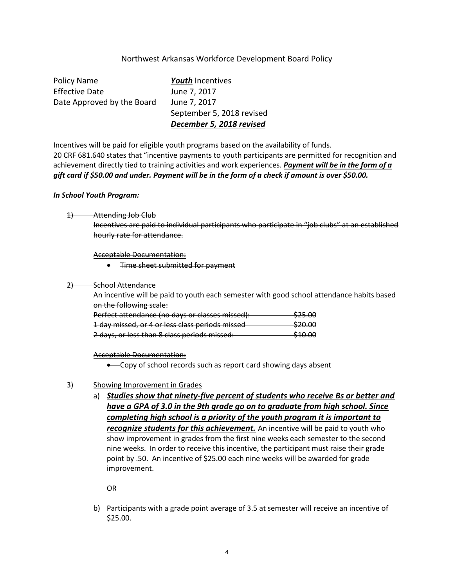#### Northwest Arkansas Workforce Development Board Policy

Policy Name *Youth* Incentives Effective Date June 7, 2017 Date Approved by the Board June 7, 2017 September 5, 2018 revised *December 5, 2018 revised*

Incentives will be paid for eligible youth programs based on the availability of funds. 20 CRF 681.640 states that "incentive payments to youth participants are permitted for recognition and achievement directly tied to training activities and work experiences. *Payment will be in the form of a gift card if \$50.00 and under. Payment will be in the form of a check if amount is over \$50.00.*

#### *In School Youth Program:*

1) Attending Job Club

Incentives are paid to individual participants who participate in "job clubs" at an established hourly rate for attendance.

Acceptable Documentation:

**•** Time sheet submitted for payment

#### 2) School Attendance

An incentive will be paid to youth each semester with good school attendance habits based on the following scale:

| Perfect attendance (no days or classes missed): | \$25.00 |
|-------------------------------------------------|---------|
| 1 day missed, or 4 or less class periods missed | \$20.00 |
| 2 days, or less than 8 class periods missed:    | \$10.00 |

Acceptable Documentation:

• Copy of school records such as report card showing days absent

#### 3) Showing Improvement in Grades

a) *Studies show that ninety-five percent of students who receive Bs or better and have a GPA of 3.0 in the 9th grade go on to graduate from high school. Since completing high school is a priority of the youth program it is important to recognize students for this achievement.* An incentive will be paid to youth who show improvement in grades from the first nine weeks each semester to the second nine weeks. In order to receive this incentive, the participant must raise their grade point by .50. An incentive of \$25.00 each nine weeks will be awarded for grade improvement.

OR

b) Participants with a grade point average of 3.5 at semester will receive an incentive of \$25.00.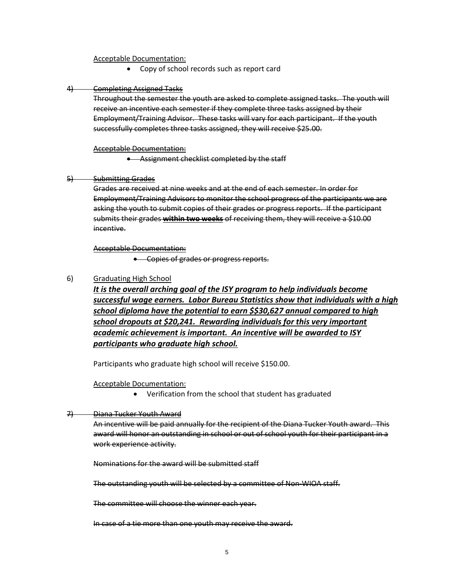#### Acceptable Documentation:

• Copy of school records such as report card

#### 4) Completing Assigned Tasks

Throughout the semester the youth are asked to complete assigned tasks. The youth will receive an incentive each semester if they complete three tasks assigned by their Employment/Training Advisor. These tasks will vary for each participant. If the youth successfully completes three tasks assigned, they will receive \$25.00.

#### Acceptable Documentation:

• Assignment checklist completed by the staff

#### 5) Submitting Grades

Grades are received at nine weeks and at the end of each semester. In order for Employment/Training Advisors to monitor the school progress of the participants we are asking the youth to submit copies of their grades or progress reports. If the participant submits their grades **within two weeks** of receiving them, they will receive a \$10.00 incentive.

#### Acceptable Documentation:

• Copies of grades or progress reports.

#### 6) Graduating High School

*It is the overall arching goal of the ISY program to help individuals become successful wage earners. Labor Bureau Statistics show that individuals with a high school diploma have the potential to earn \$\$30,627 annual compared to high school dropouts at \$20,241. Rewarding individuals for this very important academic achievement is important. An incentive will be awarded to ISY participants who graduate high school.*

Participants who graduate high school will receive \$150.00.

#### Acceptable Documentation:

• Verification from the school that student has graduated

#### 7) Diana Tucker Youth Award

An incentive will be paid annually for the recipient of the Diana Tucker Youth award. This award will honor an outstanding in school or out of school youth for their participant in a work experience activity.

Nominations for the award will be submitted staff

The outstanding youth will be selected by a committee of Non-WIOA staff.

The committee will choose the winner each year.

In case of a tie more than one youth may receive the award.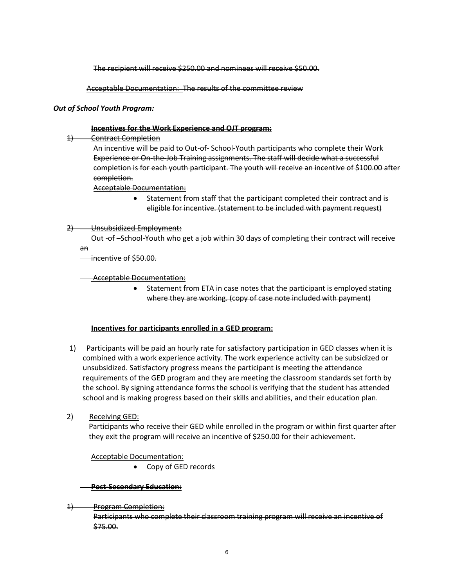The recipient will receive \$250.00 and nominees will receive \$50.00.

Acceptable Documentation: The results of the committee review

#### *Out of School Youth Program:*

#### **Incentives for the Work Experience and OJT program:**

1) Contract Completion

An incentive will be paid to Out-of- School-Youth participants who complete their Work Experience or On-the-Job Training assignments. The staff will decide what a successful completion is for each youth participant. The youth will receive an incentive of \$100.00 after completion.

Acceptable Documentation:

• Statement from staff that the participant completed their contract and is eligible for incentive. (statement to be included with payment request)

#### 2) Unsubsidized Employment:

 Out -of –School-Youth who get a job within 30 days of completing their contract will receive an

incentive of \$50.00.

Acceptable Documentation:

• Statement from ETA in case notes that the participant is employed stating where they are working. (copy of case note included with payment)

#### **Incentives for participants enrolled in a GED program:**

- 1) Participants will be paid an hourly rate for satisfactory participation in GED classes when it is combined with a work experience activity. The work experience activity can be subsidized or unsubsidized. Satisfactory progress means the participant is meeting the attendance requirements of the GED program and they are meeting the classroom standards set forth by the school. By signing attendance forms the school is verifying that the student has attended school and is making progress based on their skills and abilities, and their education plan.
- 2) Receiving GED:

 Participants who receive their GED while enrolled in the program or within first quarter after they exit the program will receive an incentive of \$250.00 for their achievement.

#### Acceptable Documentation:

• Copy of GED records

#### **Post-Secondary Education:**

1) Program Completion:

Participants who complete their classroom training program will receive an incentive of \$75.00.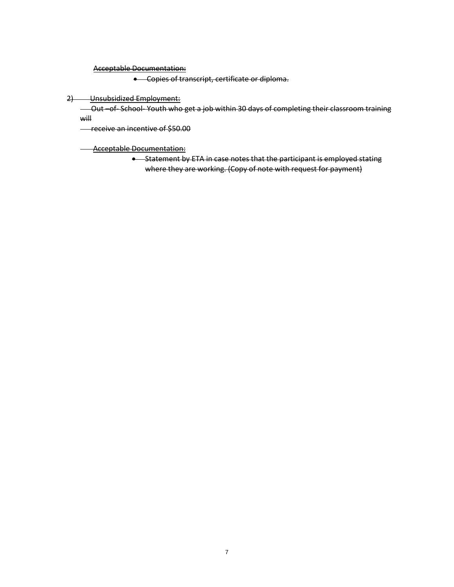Acceptable Documentation:

• Copies of transcript, certificate or diploma.

2) Unsubsidized Employment:

 Out –of- School- Youth who get a job within 30 days of completing their classroom training will

receive an incentive of \$50.00

**Acceptable Documentation:** 

• Statement by ETA in case notes that the participant is employed stating where they are working. (Copy of note with request for payment)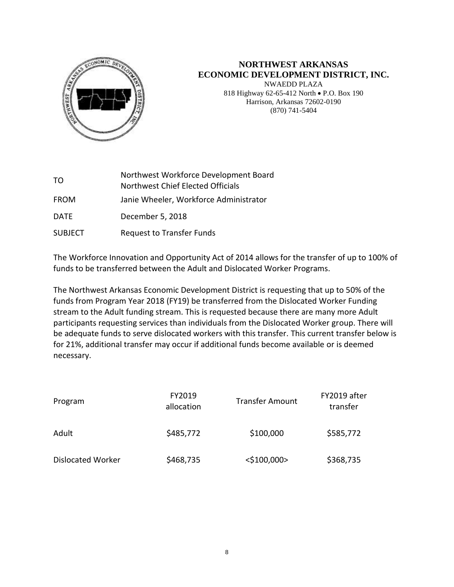

# **NORTHWEST ARKANSAS ECONOMIC DEVELOPMENT DISTRICT, INC.**

NWAEDD PLAZA 818 Highway 62-65-412 North • P.O. Box 190 Harrison, Arkansas 72602-0190 (870) 741-5404

| TO.            | Northwest Workforce Development Board<br>Northwest Chief Elected Officials |
|----------------|----------------------------------------------------------------------------|
| <b>FROM</b>    | Janie Wheeler, Workforce Administrator                                     |
| <b>DATE</b>    | December 5, 2018                                                           |
| <b>SUBJECT</b> | <b>Request to Transfer Funds</b>                                           |

The Workforce Innovation and Opportunity Act of 2014 allows for the transfer of up to 100% of funds to be transferred between the Adult and Dislocated Worker Programs.

The Northwest Arkansas Economic Development District is requesting that up to 50% of the funds from Program Year 2018 (FY19) be transferred from the Dislocated Worker Funding stream to the Adult funding stream. This is requested because there are many more Adult participants requesting services than individuals from the Dislocated Worker group. There will be adequate funds to serve dislocated workers with this transfer. This current transfer below is for 21%, additional transfer may occur if additional funds become available or is deemed necessary.

| Program                  | FY2019<br>allocation | <b>Transfer Amount</b> | FY2019 after<br>transfer |  |
|--------------------------|----------------------|------------------------|--------------------------|--|
| Adult                    | \$485,772            | \$100,000              | \$585,772                |  |
| <b>Dislocated Worker</b> | \$468,735            | $<$ \$100,000>         | \$368,735                |  |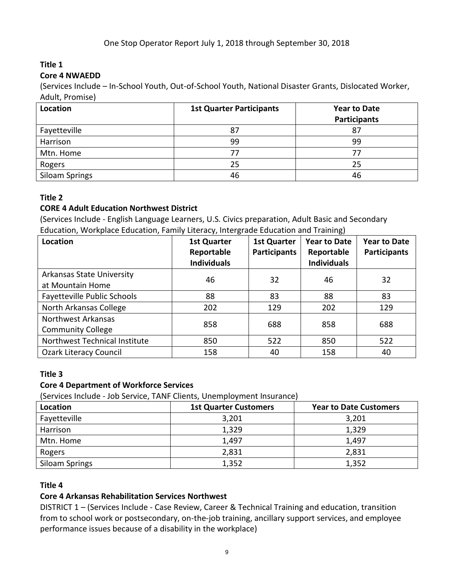# **Title 1**

### **Core 4 NWAEDD**

(Services Include – In-School Youth, Out-of-School Youth, National Disaster Grants, Dislocated Worker, Adult, Promise)

| Location              | <b>1st Quarter Participants</b> | <b>Year to Date</b> |
|-----------------------|---------------------------------|---------------------|
|                       |                                 | <b>Participants</b> |
| Fayetteville          | 87                              | 87                  |
| Harrison              | 99                              | 99                  |
| Mtn. Home             | 77                              |                     |
| Rogers                | 25                              | 25                  |
| <b>Siloam Springs</b> | 46                              | 46                  |

# **Title 2**

### **CORE 4 Adult Education Northwest District**

(Services Include - English Language Learners, U.S. Civics preparation, Adult Basic and Secondary Education, Workplace Education, Family Literacy, Intergrade Education and Training)

| Location                                             | <b>1st Quarter</b><br>Reportable<br><b>Individuals</b> | <b>1st Quarter</b><br><b>Participants</b> | <b>Year to Date</b><br>Reportable<br><b>Individuals</b> | <b>Year to Date</b><br><b>Participants</b> |
|------------------------------------------------------|--------------------------------------------------------|-------------------------------------------|---------------------------------------------------------|--------------------------------------------|
| <b>Arkansas State University</b><br>at Mountain Home | 46                                                     | 32                                        | 46                                                      | 32                                         |
| <b>Fayetteville Public Schools</b>                   | 88                                                     | 83                                        | 88                                                      | 83                                         |
| North Arkansas College                               | 202                                                    | 129                                       | 202                                                     | 129                                        |
| Northwest Arkansas<br><b>Community College</b>       | 858                                                    | 688                                       | 858                                                     | 688                                        |
| Northwest Technical Institute                        | 850                                                    | 522                                       | 850                                                     | 522                                        |
| <b>Ozark Literacy Council</b>                        | 158                                                    | 40                                        | 158                                                     | 40                                         |

# **Title 3**

# **Core 4 Department of Workforce Services**

(Services Include - Job Service, TANF Clients, Unemployment Insurance)

| Location       | <b>1st Quarter Customers</b> | <b>Year to Date Customers</b> |  |  |  |  |
|----------------|------------------------------|-------------------------------|--|--|--|--|
| Fayetteville   | 3,201                        | 3,201                         |  |  |  |  |
| Harrison       | 1,329                        | 1,329                         |  |  |  |  |
| Mtn. Home      | 1,497                        | 1,497                         |  |  |  |  |
| Rogers         | 2,831                        | 2,831                         |  |  |  |  |
| Siloam Springs | 1,352                        | 1,352                         |  |  |  |  |

### **Title 4**

### **Core 4 Arkansas Rehabilitation Services Northwest**

DISTRICT 1 – (Services Include - Case Review, Career & Technical Training and education, transition from to school work or postsecondary, on-the-job training, ancillary support services, and employee performance issues because of a disability in the workplace)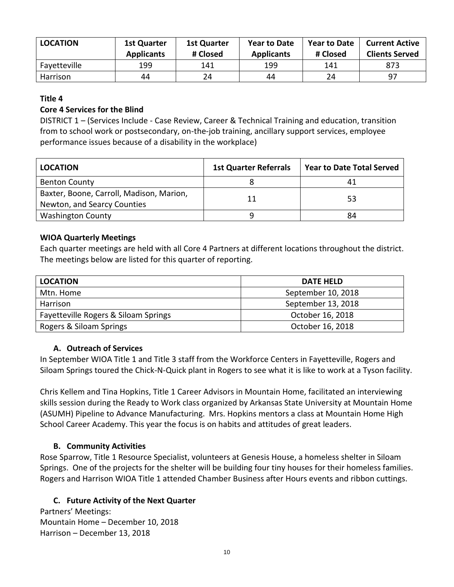| <b>LOCATION</b> | <b>1st Quarter</b><br><b>Applicants</b> | <b>1st Quarter</b><br># Closed | <b>Year to Date</b><br><b>Applicants</b> | <b>Year to Date</b><br># Closed | <b>Current Active</b><br><b>Clients Served</b> |
|-----------------|-----------------------------------------|--------------------------------|------------------------------------------|---------------------------------|------------------------------------------------|
| Fayetteville    | 199                                     | 141                            | 199                                      | 141                             | 873                                            |
| Harrison        | 44                                      | 24                             | 44                                       | 24                              | -97                                            |

### **Title 4**

### **Core 4 Services for the Blind**

DISTRICT 1 – (Services Include - Case Review, Career & Technical Training and education, transition from to school work or postsecondary, on-the-job training, ancillary support services, employee performance issues because of a disability in the workplace)

| <b>LOCATION</b>                                                         | <b>1st Quarter Referrals</b> | <b>Year to Date Total Served</b> |
|-------------------------------------------------------------------------|------------------------------|----------------------------------|
| <b>Benton County</b>                                                    |                              |                                  |
| Baxter, Boone, Carroll, Madison, Marion,<br>Newton, and Searcy Counties |                              | 53                               |
| <b>Washington County</b>                                                |                              | 84                               |

### **WIOA Quarterly Meetings**

Each quarter meetings are held with all Core 4 Partners at different locations throughout the district. The meetings below are listed for this quarter of reporting.

| <b>LOCATION</b>                      | <b>DATE HELD</b>   |
|--------------------------------------|--------------------|
| Mtn. Home                            | September 10, 2018 |
| Harrison                             | September 13, 2018 |
| Fayetteville Rogers & Siloam Springs | October 16, 2018   |
| Rogers & Siloam Springs              | October 16, 2018   |

### **A. Outreach of Services**

In September WIOA Title 1 and Title 3 staff from the Workforce Centers in Fayetteville, Rogers and Siloam Springs toured the Chick-N-Quick plant in Rogers to see what it is like to work at a Tyson facility.

Chris Kellem and Tina Hopkins, Title 1 Career Advisors in Mountain Home, facilitated an interviewing skills session during the Ready to Work class organized by Arkansas State University at Mountain Home (ASUMH) Pipeline to Advance Manufacturing. Mrs. Hopkins mentors a class at Mountain Home High School Career Academy. This year the focus is on habits and attitudes of great leaders.

### **B. Community Activities**

Rose Sparrow, Title 1 Resource Specialist, volunteers at Genesis House, a homeless shelter in Siloam Springs. One of the projects for the shelter will be building four tiny houses for their homeless families. Rogers and Harrison WIOA Title 1 attended Chamber Business after Hours events and ribbon cuttings.

### **C. Future Activity of the Next Quarter**

Partners' Meetings: Mountain Home – December 10, 2018 Harrison – December 13, 2018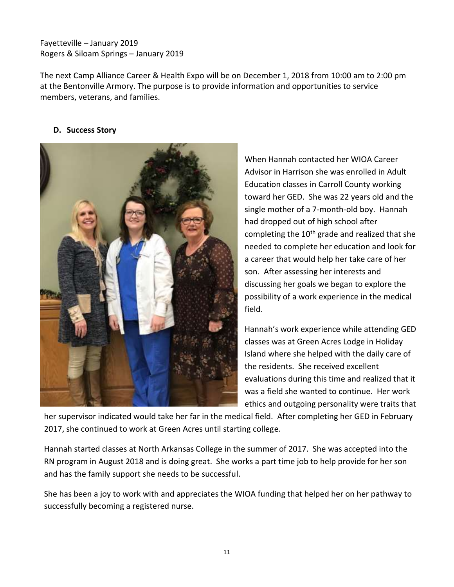Fayetteville – January 2019 Rogers & Siloam Springs – January 2019

The next Camp Alliance Career & Health Expo will be on December 1, 2018 from 10:00 am to 2:00 pm at the Bentonville Armory. The purpose is to provide information and opportunities to service members, veterans, and families.

### **D. Success Story**



When Hannah contacted her WIOA Career Advisor in Harrison she was enrolled in Adult Education classes in Carroll County working toward her GED. She was 22 years old and the single mother of a 7-month-old boy. Hannah had dropped out of high school after completing the  $10<sup>th</sup>$  grade and realized that she needed to complete her education and look for a career that would help her take care of her son. After assessing her interests and discussing her goals we began to explore the possibility of a work experience in the medical field.

Hannah's work experience while attending GED classes was at Green Acres Lodge in Holiday Island where she helped with the daily care of the residents. She received excellent evaluations during this time and realized that it was a field she wanted to continue. Her work ethics and outgoing personality were traits that

her supervisor indicated would take her far in the medical field. After completing her GED in February 2017, she continued to work at Green Acres until starting college.

Hannah started classes at North Arkansas College in the summer of 2017. She was accepted into the RN program in August 2018 and is doing great. She works a part time job to help provide for her son and has the family support she needs to be successful.

She has been a joy to work with and appreciates the WIOA funding that helped her on her pathway to successfully becoming a registered nurse.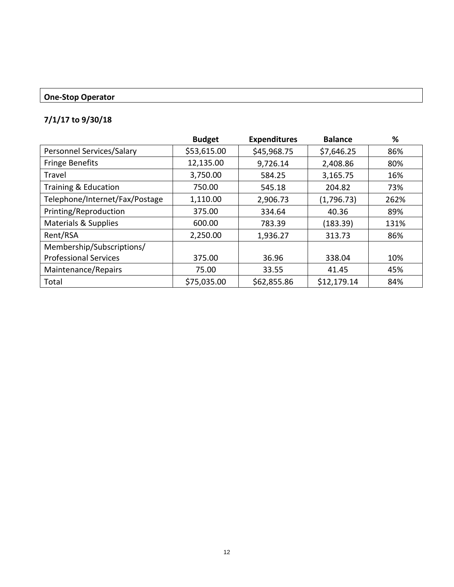### **One-Stop Operator**

# **7/1/17 to 9/30/18**

|                                | <b>Budget</b> | <b>Expenditures</b> | <b>Balance</b> | %    |
|--------------------------------|---------------|---------------------|----------------|------|
| Personnel Services/Salary      | \$53,615.00   | \$45,968.75         | \$7,646.25     | 86%  |
| <b>Fringe Benefits</b>         | 12,135.00     | 9,726.14            | 2,408.86       | 80%  |
| Travel                         | 3,750.00      | 584.25              | 3,165.75       | 16%  |
| Training & Education           | 750.00        | 545.18              | 204.82         | 73%  |
| Telephone/Internet/Fax/Postage | 1,110.00      | 2,906.73            | (1,796.73)     | 262% |
| Printing/Reproduction          | 375.00        | 334.64              | 40.36          | 89%  |
| Materials & Supplies           | 600.00        | 783.39              | (183.39)       | 131% |
| Rent/RSA                       | 2,250.00      | 1,936.27            | 313.73         | 86%  |
| Membership/Subscriptions/      |               |                     |                |      |
| <b>Professional Services</b>   | 375.00        | 36.96               | 338.04         | 10%  |
| Maintenance/Repairs            | 75.00         | 33.55               | 41.45          | 45%  |
| Total                          | \$75,035.00   | \$62,855.86         | \$12,179.14    | 84%  |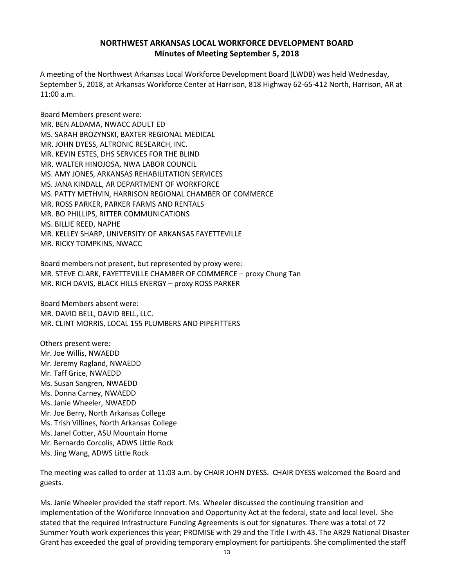### **NORTHWEST ARKANSAS LOCAL WORKFORCE DEVELOPMENT BOARD Minutes of Meeting September 5, 2018**

A meeting of the Northwest Arkansas Local Workforce Development Board (LWDB) was held Wednesday, September 5, 2018, at Arkansas Workforce Center at Harrison, 818 Highway 62-65-412 North, Harrison, AR at 11:00 a.m.

Board Members present were: MR. BEN ALDAMA, NWACC ADULT ED MS. SARAH BROZYNSKI, BAXTER REGIONAL MEDICAL MR. JOHN DYESS, ALTRONIC RESEARCH, INC. MR. KEVIN ESTES, DHS SERVICES FOR THE BLIND MR. WALTER HINOJOSA, NWA LABOR COUNCIL MS. AMY JONES, ARKANSAS REHABILITATION SERVICES MS. JANA KINDALL, AR DEPARTMENT OF WORKFORCE MS. PATTY METHVIN, HARRISON REGIONAL CHAMBER OF COMMERCE MR. ROSS PARKER, PARKER FARMS AND RENTALS MR. BO PHILLIPS, RITTER COMMUNICATIONS MS. BILLIE REED, NAPHE MR. KELLEY SHARP, UNIVERSITY OF ARKANSAS FAYETTEVILLE MR. RICKY TOMPKINS, NWACC

Board members not present, but represented by proxy were: MR. STEVE CLARK, FAYETTEVILLE CHAMBER OF COMMERCE – proxy Chung Tan MR. RICH DAVIS, BLACK HILLS ENERGY – proxy ROSS PARKER

Board Members absent were: MR. DAVID BELL, DAVID BELL, LLC. MR. CLINT MORRIS, LOCAL 155 PLUMBERS AND PIPEFITTERS

Others present were: Mr. Joe Willis, NWAEDD Mr. Jeremy Ragland, NWAEDD Mr. Taff Grice, NWAEDD Ms. Susan Sangren, NWAEDD Ms. Donna Carney, NWAEDD Ms. Janie Wheeler, NWAEDD Mr. Joe Berry, North Arkansas College Ms. Trish Villines, North Arkansas College Ms. Janel Cotter, ASU Mountain Home Mr. Bernardo Corcolis, ADWS Little Rock Ms. Jing Wang, ADWS Little Rock

The meeting was called to order at 11:03 a.m. by CHAIR JOHN DYESS. CHAIR DYESS welcomed the Board and guests.

Ms. Janie Wheeler provided the staff report. Ms. Wheeler discussed the continuing transition and implementation of the Workforce Innovation and Opportunity Act at the federal, state and local level. She stated that the required Infrastructure Funding Agreements is out for signatures. There was a total of 72 Summer Youth work experiences this year; PROMISE with 29 and the Title I with 43. The AR29 National Disaster Grant has exceeded the goal of providing temporary employment for participants. She complimented the staff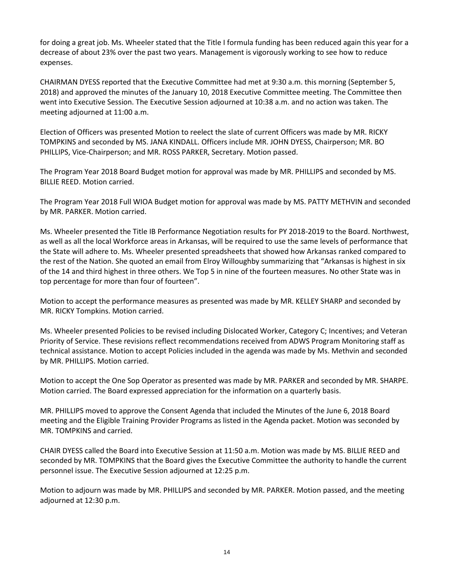for doing a great job. Ms. Wheeler stated that the Title I formula funding has been reduced again this year for a decrease of about 23% over the past two years. Management is vigorously working to see how to reduce expenses.

CHAIRMAN DYESS reported that the Executive Committee had met at 9:30 a.m. this morning (September 5, 2018) and approved the minutes of the January 10, 2018 Executive Committee meeting. The Committee then went into Executive Session. The Executive Session adjourned at 10:38 a.m. and no action was taken. The meeting adjourned at 11:00 a.m.

Election of Officers was presented Motion to reelect the slate of current Officers was made by MR. RICKY TOMPKINS and seconded by MS. JANA KINDALL. Officers include MR. JOHN DYESS, Chairperson; MR. BO PHILLIPS, Vice-Chairperson; and MR. ROSS PARKER, Secretary. Motion passed.

The Program Year 2018 Board Budget motion for approval was made by MR. PHILLIPS and seconded by MS. BILLIE REED. Motion carried.

The Program Year 2018 Full WIOA Budget motion for approval was made by MS. PATTY METHVIN and seconded by MR. PARKER. Motion carried.

Ms. Wheeler presented the Title IB Performance Negotiation results for PY 2018-2019 to the Board. Northwest, as well as all the local Workforce areas in Arkansas, will be required to use the same levels of performance that the State will adhere to. Ms. Wheeler presented spreadsheets that showed how Arkansas ranked compared to the rest of the Nation. She quoted an email from Elroy Willoughby summarizing that "Arkansas is highest in six of the 14 and third highest in three others. We Top 5 in nine of the fourteen measures. No other State was in top percentage for more than four of fourteen".

Motion to accept the performance measures as presented was made by MR. KELLEY SHARP and seconded by MR. RICKY Tompkins. Motion carried.

Ms. Wheeler presented Policies to be revised including Dislocated Worker, Category C; Incentives; and Veteran Priority of Service. These revisions reflect recommendations received from ADWS Program Monitoring staff as technical assistance. Motion to accept Policies included in the agenda was made by Ms. Methvin and seconded by MR. PHILLIPS. Motion carried.

Motion to accept the One Sop Operator as presented was made by MR. PARKER and seconded by MR. SHARPE. Motion carried. The Board expressed appreciation for the information on a quarterly basis.

MR. PHILLIPS moved to approve the Consent Agenda that included the Minutes of the June 6, 2018 Board meeting and the Eligible Training Provider Programs as listed in the Agenda packet. Motion was seconded by MR. TOMPKINS and carried.

CHAIR DYESS called the Board into Executive Session at 11:50 a.m. Motion was made by MS. BILLIE REED and seconded by MR. TOMPKINS that the Board gives the Executive Committee the authority to handle the current personnel issue. The Executive Session adjourned at 12:25 p.m.

Motion to adjourn was made by MR. PHILLIPS and seconded by MR. PARKER. Motion passed, and the meeting adjourned at 12:30 p.m.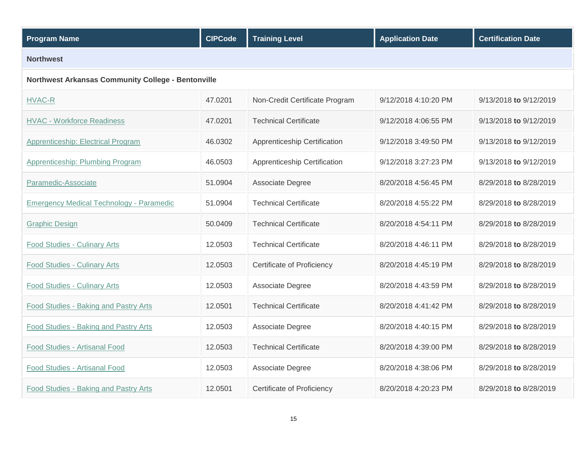| <b>Program Name</b>                                | <b>CIPCode</b> | <b>Training Level</b>          | <b>Application Date</b> | <b>Certification Date</b> |  |  |  |  |
|----------------------------------------------------|----------------|--------------------------------|-------------------------|---------------------------|--|--|--|--|
| <b>Northwest</b>                                   |                |                                |                         |                           |  |  |  |  |
| Northwest Arkansas Community College - Bentonville |                |                                |                         |                           |  |  |  |  |
| <b>HVAC-R</b>                                      | 47.0201        | Non-Credit Certificate Program | 9/12/2018 4:10:20 PM    | 9/13/2018 to 9/12/2019    |  |  |  |  |
| <b>HVAC - Workforce Readiness</b>                  | 47.0201        | <b>Technical Certificate</b>   | 9/12/2018 4:06:55 PM    | 9/13/2018 to 9/12/2019    |  |  |  |  |
| <b>Apprenticeship: Electrical Program</b>          | 46.0302        | Apprenticeship Certification   | 9/12/2018 3:49:50 PM    | 9/13/2018 to 9/12/2019    |  |  |  |  |
| <b>Apprenticeship: Plumbing Program</b>            | 46.0503        | Apprenticeship Certification   | 9/12/2018 3:27:23 PM    | 9/13/2018 to 9/12/2019    |  |  |  |  |
| Paramedic-Associate                                | 51.0904        | Associate Degree               | 8/20/2018 4:56:45 PM    | 8/29/2018 to 8/28/2019    |  |  |  |  |
| <b>Emergency Medical Technology - Paramedic</b>    | 51.0904        | <b>Technical Certificate</b>   | 8/20/2018 4:55:22 PM    | 8/29/2018 to 8/28/2019    |  |  |  |  |
| <b>Graphic Design</b>                              | 50.0409        | <b>Technical Certificate</b>   | 8/20/2018 4:54:11 PM    | 8/29/2018 to 8/28/2019    |  |  |  |  |
| <b>Food Studies - Culinary Arts</b>                | 12.0503        | <b>Technical Certificate</b>   | 8/20/2018 4:46:11 PM    | 8/29/2018 to 8/28/2019    |  |  |  |  |
| <b>Food Studies - Culinary Arts</b>                | 12.0503        | Certificate of Proficiency     | 8/20/2018 4:45:19 PM    | 8/29/2018 to 8/28/2019    |  |  |  |  |
| <b>Food Studies - Culinary Arts</b>                | 12.0503        | Associate Degree               | 8/20/2018 4:43:59 PM    | 8/29/2018 to 8/28/2019    |  |  |  |  |
| Food Studies - Baking and Pastry Arts              | 12.0501        | <b>Technical Certificate</b>   | 8/20/2018 4:41:42 PM    | 8/29/2018 to 8/28/2019    |  |  |  |  |
| <b>Food Studies - Baking and Pastry Arts</b>       | 12.0503        | Associate Degree               | 8/20/2018 4:40:15 PM    | 8/29/2018 to 8/28/2019    |  |  |  |  |
| <b>Food Studies - Artisanal Food</b>               | 12.0503        | <b>Technical Certificate</b>   | 8/20/2018 4:39:00 PM    | 8/29/2018 to 8/28/2019    |  |  |  |  |
| Food Studies - Artisanal Food                      | 12.0503        | Associate Degree               | 8/20/2018 4:38:06 PM    | 8/29/2018 to 8/28/2019    |  |  |  |  |
| <b>Food Studies - Baking and Pastry Arts</b>       | 12.0501        | Certificate of Proficiency     | 8/20/2018 4:20:23 PM    | 8/29/2018 to 8/28/2019    |  |  |  |  |